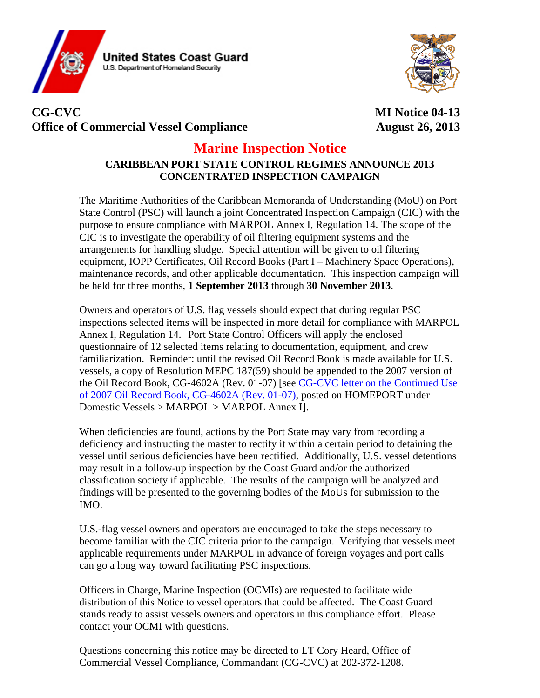



## **CG-CVC MI Notice 04-13**  Office of Commercial Vessel Compliance **August 26, 2013**

## **Marine Inspection Notice**

## **CARIBBEAN PORT STATE CONTROL REGIMES ANNOUNCE 2013 CONCENTRATED INSPECTION CAMPAIGN**

The Maritime Authorities of the Caribbean Memoranda of Understanding (MoU) on Port State Control (PSC) will launch a joint Concentrated Inspection Campaign (CIC) with the purpose to ensure compliance with MARPOL Annex I, Regulation 14. The scope of the CIC is to investigate the operability of oil filtering equipment systems and the arrangements for handling sludge. Special attention will be given to oil filtering equipment, IOPP Certificates, Oil Record Books (Part I – Machinery Space Operations), maintenance records, and other applicable documentation. This inspection campaign will be held for three months, **1 September 2013** through **30 November 2013**.

Owners and operators of U.S. flag vessels should expect that during regular PSC inspections selected items will be inspected in more detail for compliance with MARPOL Annex I, Regulation 14. Port State Control Officers will apply the enclosed questionnaire of 12 selected items relating to documentation, equipment, and crew familiarization. Reminder: until the revised Oil Record Book is made available for U.S. vessels, a copy of Resolution MEPC 187(59) should be appended to the 2007 version of the Oil Record Book, CG-4602A (Rev. 01-07) [see [CG-CVC letter on the Continued Use](https://homeport.uscg.mil/mycg/portal/ep/contentView.do?channelId=-18346&contentId=243648&programId=243762&programPage=%2Fep%2Fprogram%2Feditorial.jsp&pageTypeId=13489&contentType=EDITORIAL&BV_SessionID=@@@@0986761664.1377530497@@@@&BV_EngineID=cccfadfkkekimficfngcfkmdfhfdfgm.0)  [of 2007 Oil Record Book, CG-4602A \(Rev. 01-07\),](https://homeport.uscg.mil/mycg/portal/ep/contentView.do?channelId=-18346&contentId=243648&programId=243762&programPage=%2Fep%2Fprogram%2Feditorial.jsp&pageTypeId=13489&contentType=EDITORIAL&BV_SessionID=@@@@0986761664.1377530497@@@@&BV_EngineID=cccfadfkkekimficfngcfkmdfhfdfgm.0) posted on HOMEPORT under Domestic Vessels > MARPOL > MARPOL Annex I].

When deficiencies are found, actions by the Port State may vary from recording a deficiency and instructing the master to rectify it within a certain period to detaining the vessel until serious deficiencies have been rectified. Additionally, U.S. vessel detentions may result in a follow-up inspection by the Coast Guard and/or the authorized classification society if applicable. The results of the campaign will be analyzed and findings will be presented to the governing bodies of the MoUs for submission to the IMO.

U.S.-flag vessel owners and operators are encouraged to take the steps necessary to become familiar with the CIC criteria prior to the campaign. Verifying that vessels meet applicable requirements under MARPOL in advance of foreign voyages and port calls can go a long way toward facilitating PSC inspections.

Officers in Charge, Marine Inspection (OCMIs) are requested to facilitate wide distribution of this Notice to vessel operators that could be affected. The Coast Guard stands ready to assist vessels owners and operators in this compliance effort. Please contact your OCMI with questions.

Questions concerning this notice may be directed to LT Cory Heard, Office of Commercial Vessel Compliance, Commandant (CG-CVC) at 202-372-1208.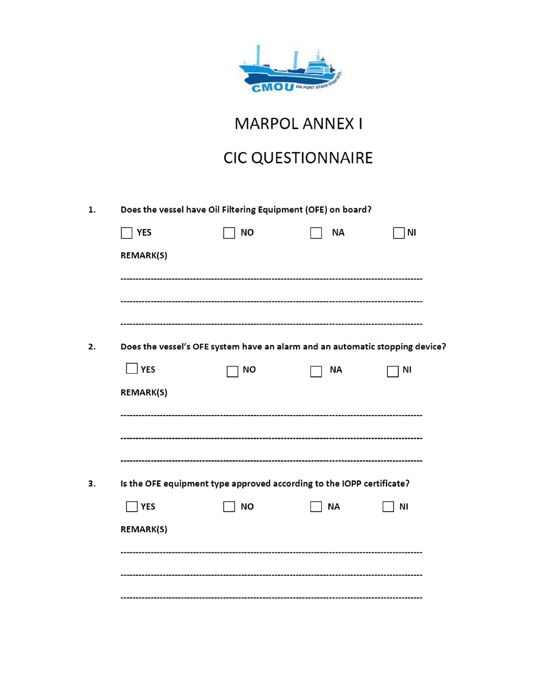

MARPOL ANNEX I

## **CIC QUESTIONNAIRE**

|                  | Does the vessel have Oil Filtering Equipment (OFE) on board?                 |    |    |  |
|------------------|------------------------------------------------------------------------------|----|----|--|
| <b>YES</b>       | NO                                                                           | ΝA | NI |  |
| <b>REMARK(S)</b> |                                                                              |    |    |  |
|                  |                                                                              |    |    |  |
|                  |                                                                              |    |    |  |
|                  |                                                                              |    |    |  |
|                  | Does the vessel's OFE system have an alarm and an automatic stopping device? |    |    |  |
| YES              | ΝO                                                                           | ΝA | ΝI |  |
| <b>REMARK(S)</b> |                                                                              |    |    |  |
|                  |                                                                              |    |    |  |
|                  |                                                                              |    |    |  |
|                  |                                                                              |    |    |  |
|                  | Is the OFE equipment type approved according to the IOPP certificate?        |    |    |  |
| <b>YES</b>       | <b>NO</b>                                                                    | ΝA | ΝI |  |
| REMARK(S)        |                                                                              |    |    |  |
|                  |                                                                              |    |    |  |
|                  |                                                                              |    |    |  |
|                  |                                                                              |    |    |  |
|                  |                                                                              |    |    |  |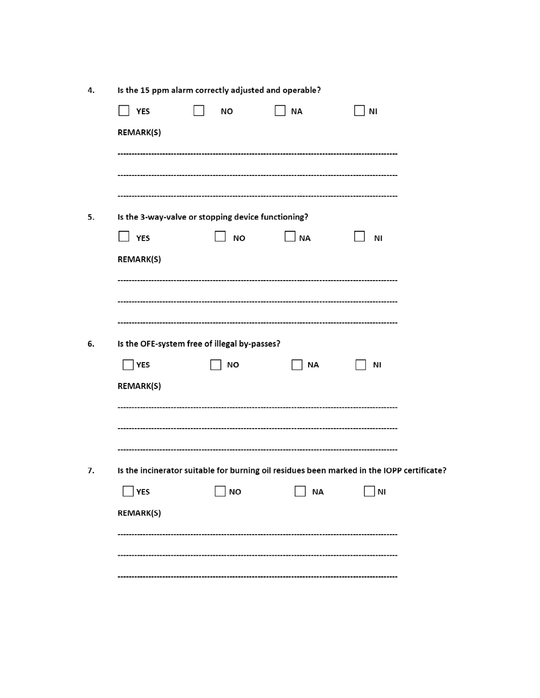| ΝO        | <b>NA</b>       | ΝI                                                                                                                                                                                                    |
|-----------|-----------------|-------------------------------------------------------------------------------------------------------------------------------------------------------------------------------------------------------|
|           |                 |                                                                                                                                                                                                       |
|           |                 |                                                                                                                                                                                                       |
|           |                 |                                                                                                                                                                                                       |
|           |                 |                                                                                                                                                                                                       |
|           |                 |                                                                                                                                                                                                       |
|           |                 |                                                                                                                                                                                                       |
| <b>NO</b> | <b>NA</b>       | ΝI                                                                                                                                                                                                    |
|           |                 |                                                                                                                                                                                                       |
|           |                 |                                                                                                                                                                                                       |
|           |                 |                                                                                                                                                                                                       |
|           |                 |                                                                                                                                                                                                       |
|           |                 |                                                                                                                                                                                                       |
|           |                 | ΝI                                                                                                                                                                                                    |
|           |                 |                                                                                                                                                                                                       |
|           |                 |                                                                                                                                                                                                       |
|           |                 |                                                                                                                                                                                                       |
|           |                 |                                                                                                                                                                                                       |
|           |                 |                                                                                                                                                                                                       |
|           |                 |                                                                                                                                                                                                       |
|           | <b>NA</b>       | <b>NI</b>                                                                                                                                                                                             |
|           |                 |                                                                                                                                                                                                       |
|           |                 |                                                                                                                                                                                                       |
|           |                 |                                                                                                                                                                                                       |
|           |                 |                                                                                                                                                                                                       |
|           | NO<br><b>NO</b> | Is the 3-way-valve or stopping device functioning?<br>Is the OFE-system free of illegal by-passes?<br>ΝA<br>Is the incinerator suitable for burning oil residues been marked in the IOPP certificate? |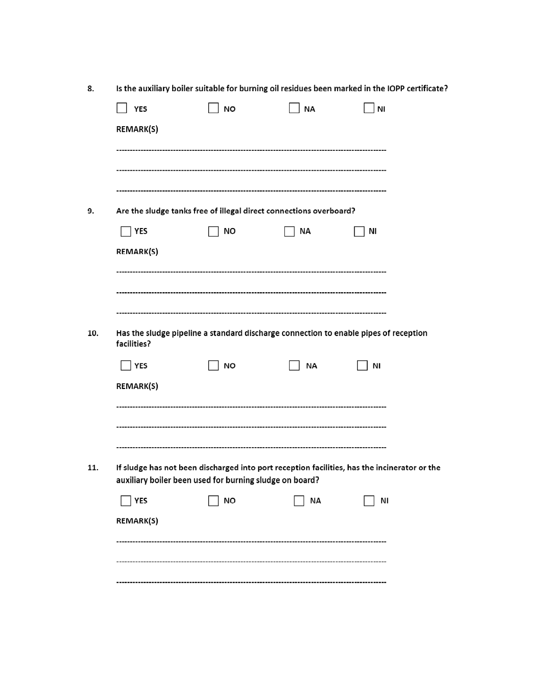|                  | Is the auxiliary boiler suitable for burning oil residues been marked in the IOPP certificate? |                                                                    |                                                                                              |
|------------------|------------------------------------------------------------------------------------------------|--------------------------------------------------------------------|----------------------------------------------------------------------------------------------|
| <b>YES</b>       | <b>NO</b>                                                                                      | <b>NA</b>                                                          | <b>NI</b>                                                                                    |
| REMARK(S)        |                                                                                                |                                                                    |                                                                                              |
|                  |                                                                                                |                                                                    |                                                                                              |
|                  |                                                                                                |                                                                    |                                                                                              |
|                  |                                                                                                |                                                                    |                                                                                              |
|                  |                                                                                                | Are the sludge tanks free of illegal direct connections overboard? |                                                                                              |
| <b>YES</b>       | NO                                                                                             | <b>NA</b>                                                          | ΝI                                                                                           |
| <b>REMARK(S)</b> |                                                                                                |                                                                    |                                                                                              |
|                  |                                                                                                |                                                                    |                                                                                              |
|                  |                                                                                                |                                                                    |                                                                                              |
|                  |                                                                                                |                                                                    |                                                                                              |
|                  |                                                                                                |                                                                    |                                                                                              |
| facilities?      |                                                                                                |                                                                    | Has the sludge pipeline a standard discharge connection to enable pipes of reception         |
| YES              | <b>NO</b>                                                                                      | <b>NA</b>                                                          | ΝI                                                                                           |
| <b>REMARK(S)</b> |                                                                                                |                                                                    |                                                                                              |
|                  |                                                                                                |                                                                    |                                                                                              |
|                  |                                                                                                |                                                                    |                                                                                              |
|                  |                                                                                                |                                                                    |                                                                                              |
|                  |                                                                                                |                                                                    |                                                                                              |
|                  |                                                                                                |                                                                    |                                                                                              |
|                  |                                                                                                |                                                                    | If sludge has not been discharged into port reception facilities, has the incinerator or the |
|                  | auxiliary boiler been used for burning sludge on board?                                        |                                                                    |                                                                                              |
| <b>YES</b>       | <b>NO</b>                                                                                      | <b>NA</b>                                                          | ΝI                                                                                           |
|                  |                                                                                                |                                                                    |                                                                                              |
| REMARK(S)        |                                                                                                |                                                                    |                                                                                              |
|                  |                                                                                                |                                                                    |                                                                                              |